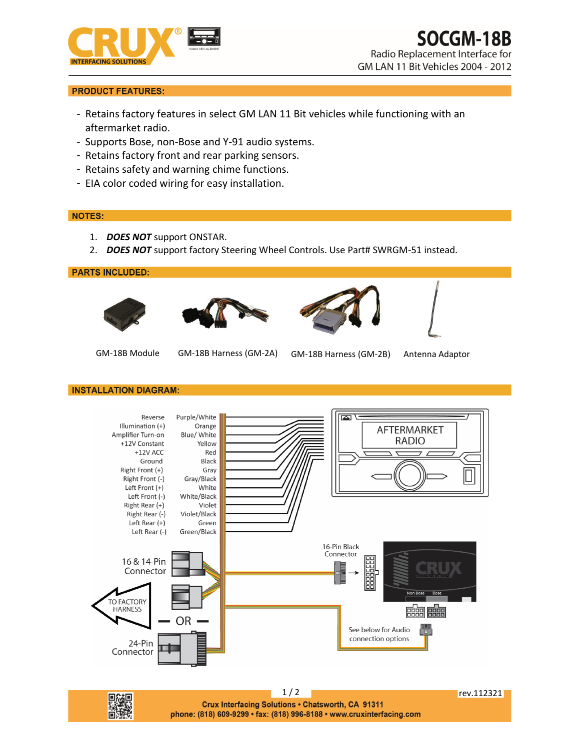



Radio Replacement Interface for GM LAN 11 Bit Vehicles 2004 - 2012

# **PRODUCT FEATURES:**

- Retains factory features in select GM LAN 11 Bit vehicles while functioning with an aftermarket radio.
- Supports Bose, non-Bose and Y-91 audio systems.
- Retains factory front and rear parking sensors.
- Retains safety and warning chime functions.
- EIA color coded wiring for easy installation.

## **NOTES:**

- 1. *DOES NOT* support ONSTAR.
- 2. *DOES NOT* support factory Steering Wheel Controls. Use Part# SWRGM-51 instead.

## **PARTS INCLUDED:**









- 
- GM-18B Module GM-18B Harness (GM-2A) GM-18B Harness (GM-2B) Antenna Adaptor

#### **INSTALLATION DIAGRAM:**



Crux Interfacing Solutions . Chatsworth, CA 91311 phone: (818) 609-9299 · fax: (818) 996-8188 · www.cruxinterfacing.com